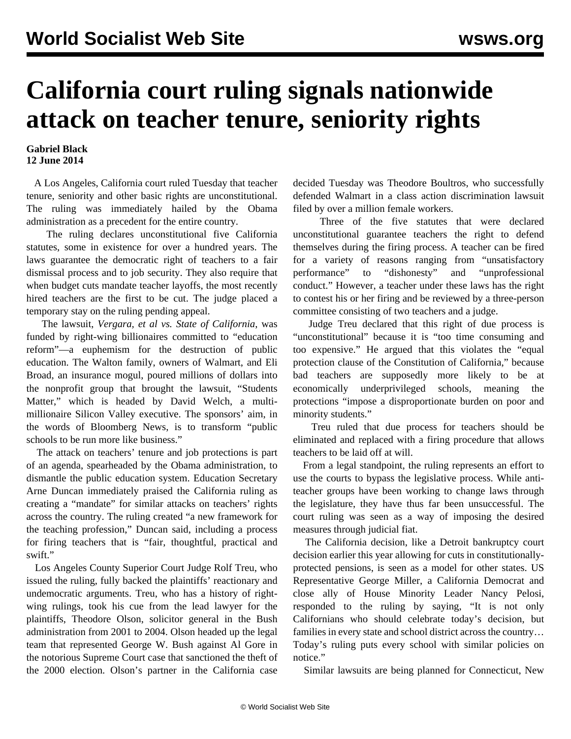## **California court ruling signals nationwide attack on teacher tenure, seniority rights**

## **Gabriel Black 12 June 2014**

 A Los Angeles, California court ruled Tuesday that teacher tenure, seniority and other basic rights are unconstitutional. The ruling was immediately hailed by the Obama administration as a precedent for the entire country.

 The ruling declares unconstitutional five California statutes, some in existence for over a hundred years. The laws guarantee the democratic right of teachers to a fair dismissal process and to job security. They also require that when budget cuts mandate teacher layoffs, the most recently hired teachers are the first to be cut. The judge placed a temporary stay on the ruling pending appeal.

 The lawsuit, *Vergara, et al vs. State of California*, was funded by right-wing billionaires committed to "education reform"—a euphemism for the destruction of public education. The Walton family, owners of Walmart, and Eli Broad, an insurance mogul, poured millions of dollars into the nonprofit group that brought the lawsuit, "Students Matter," which is headed by David Welch, a multimillionaire Silicon Valley executive. The sponsors' aim, in the words of Bloomberg News, is to transform "public schools to be run more like business."

 The attack on teachers' tenure and job protections is part of an agenda, spearheaded by the Obama administration, to dismantle the public education system. Education Secretary Arne Duncan immediately praised the California ruling as creating a "mandate" for similar attacks on teachers' rights across the country. The ruling created "a new framework for the teaching profession," Duncan said, including a process for firing teachers that is "fair, thoughtful, practical and swift."

 Los Angeles County Superior Court Judge Rolf Treu, who issued the ruling, fully backed the plaintiffs' reactionary and undemocratic arguments. Treu, who has a history of rightwing rulings, took his cue from the lead lawyer for the plaintiffs, Theodore Olson, solicitor general in the Bush administration from 2001 to 2004. Olson headed up the legal team that represented George W. Bush against Al Gore in the notorious Supreme Court case that sanctioned the theft of the 2000 election. Olson's partner in the California case decided Tuesday was Theodore Boultros, who successfully defended Walmart in a class action discrimination lawsuit filed by over a million female workers.

 Three of the five statutes that were declared unconstitutional guarantee teachers the right to defend themselves during the firing process. A teacher can be fired for a variety of reasons ranging from "unsatisfactory performance" to "dishonesty" and "unprofessional conduct." However, a teacher under these laws has the right to contest his or her firing and be reviewed by a three-person committee consisting of two teachers and a judge.

 Judge Treu declared that this right of due process is "unconstitutional" because it is "too time consuming and too expensive." He argued that this violates the "equal protection clause of the Constitution of California," because bad teachers are supposedly more likely to be at economically underprivileged schools, meaning the protections "impose a disproportionate burden on poor and minority students."

 Treu ruled that due process for teachers should be eliminated and replaced with a firing procedure that allows teachers to be laid off at will.

 From a legal standpoint, the ruling represents an effort to use the courts to bypass the legislative process. While antiteacher groups have been working to change laws through the legislature, they have thus far been unsuccessful. The court ruling was seen as a way of imposing the desired measures through judicial fiat.

 The California decision, like a Detroit bankruptcy court decision earlier this year allowing for cuts in constitutionallyprotected pensions, is seen as a model for other states. US Representative George Miller, a California Democrat and close ally of House Minority Leader Nancy Pelosi, responded to the ruling by saying, "It is not only Californians who should celebrate today's decision, but families in every state and school district across the country... Today's ruling puts every school with similar policies on notice."

Similar lawsuits are being planned for Connecticut, New